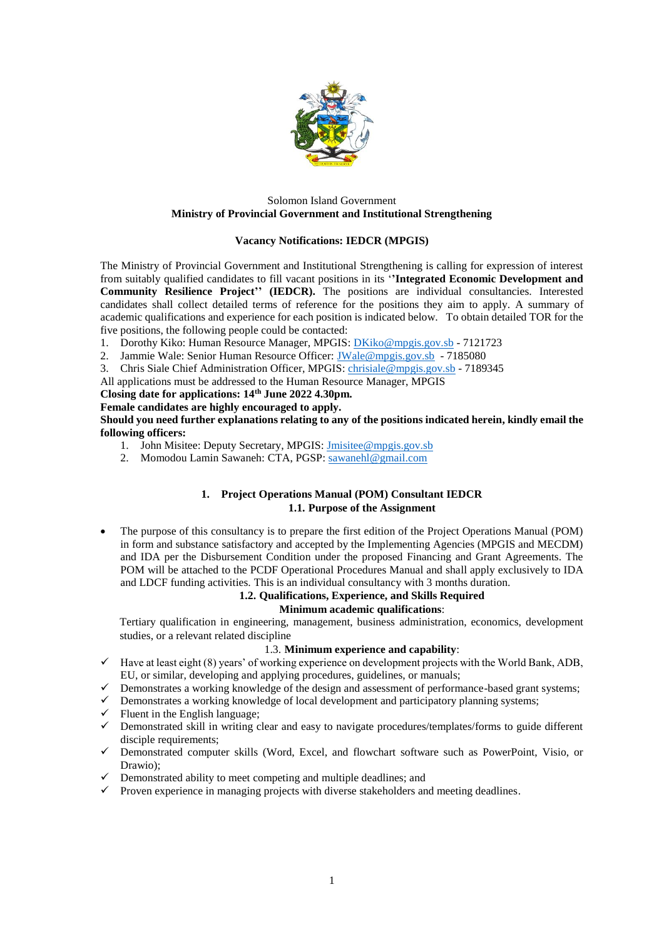

#### Solomon Island Government **Ministry of Provincial Government and Institutional Strengthening**

## **Vacancy Notifications: IEDCR (MPGIS)**

The Ministry of Provincial Government and Institutional Strengthening is calling for expression of interest from suitably qualified candidates to fill vacant positions in its '**'Integrated Economic Development and Community Resilience Project'' (IEDCR).** The positions are individual consultancies. Interested candidates shall collect detailed terms of reference for the positions they aim to apply. A summary of academic qualifications and experience for each position is indicated below. To obtain detailed TOR for the five positions, the following people could be contacted:

- 1. Dorothy Kiko: Human Resource Manager, MPGIS: [DKiko@mpgis.gov.sb](mailto:DKiko@mpgis.gov.sb) 7121723
- 2. Jammie Wale: Senior Human Resource Officer: [JWale@mpgis.gov.sb](mailto:JWale@mpgis.gov.sb) 7185080
- 3. Chris Siale Chief Administration Officer, MPGIS: [chrisiale@mpgis.gov.sb](mailto:chrisiale@mpgis.gov.sb) 7189345
- All applications must be addressed to the Human Resource Manager, MPGIS

## **Closing date for applications: 14th June 2022 4.30pm.**

#### **Female candidates are highly encouraged to apply.**

### **Should you need further explanations relating to any of the positions indicated herein, kindly email the following officers:**

- 1. John Misitee: Deputy Secretary, MPGIS: [Jmisitee@mpgis.gov.sb](mailto:Jmisitee@mpgis.gov.sb)
- 2. Momodou Lamin Sawaneh: CTA, PGSP[: sawanehl@gmail.com](mailto:sawanehl@gmail.com)

## **1. Project Operations Manual (POM) Consultant IEDCR 1.1. Purpose of the Assignment**

 The purpose of this consultancy is to prepare the first edition of the Project Operations Manual (POM) in form and substance satisfactory and accepted by the Implementing Agencies (MPGIS and MECDM) and IDA per the Disbursement Condition under the proposed Financing and Grant Agreements. The POM will be attached to the PCDF Operational Procedures Manual and shall apply exclusively to IDA and LDCF funding activities. This is an individual consultancy with 3 months duration.

# **1.2. Qualifications, Experience, and Skills Required**

## **Minimum academic qualifications**:

Tertiary qualification in engineering, management, business administration, economics, development studies, or a relevant related discipline

#### 1.3. **Minimum experience and capability**:

- $\checkmark$  Have at least eight (8) years' of working experience on development projects with the World Bank, ADB, EU, or similar, developing and applying procedures, guidelines, or manuals;
- $\checkmark$  Demonstrates a working knowledge of the design and assessment of performance-based grant systems;
- $\checkmark$  Demonstrates a working knowledge of local development and participatory planning systems;
- $\checkmark$  Fluent in the English language;
- $\checkmark$  Demonstrated skill in writing clear and easy to navigate procedures/templates/forms to guide different disciple requirements;
- Demonstrated computer skills (Word, Excel, and flowchart software such as PowerPoint, Visio, or Drawio);
- $\checkmark$  Demonstrated ability to meet competing and multiple deadlines; and
- $\checkmark$  Proven experience in managing projects with diverse stakeholders and meeting deadlines.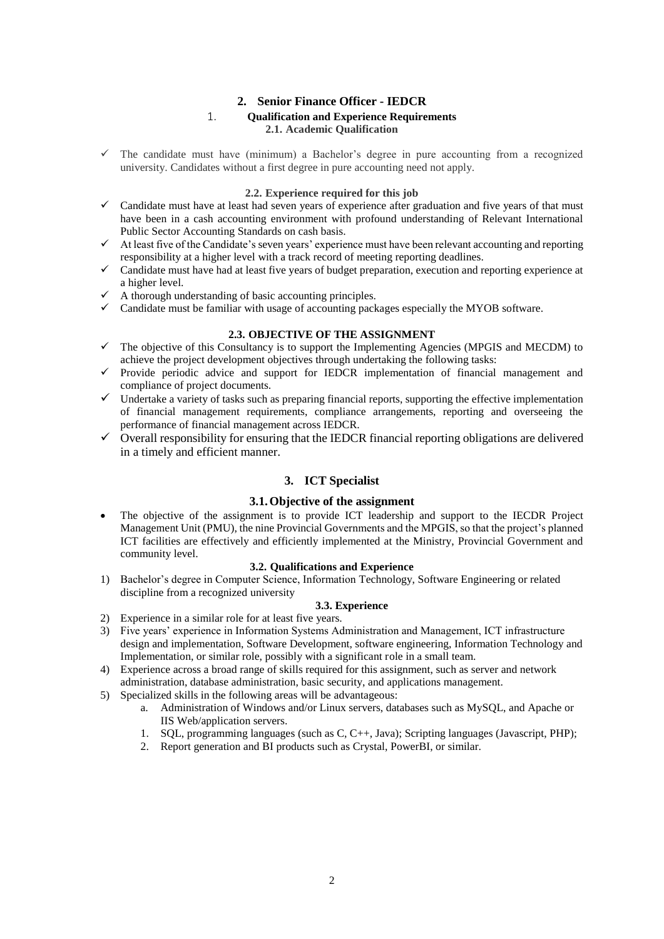# **2. Senior Finance Officer - IEDCR**

## 1. **Qualification and Experience Requirements 2.1. Academic Qualification**

 The candidate must have (minimum) a Bachelor's degree in pure accounting from a recognized university. Candidates without a first degree in pure accounting need not apply.

#### **2.2. Experience required for this job**

- $\checkmark$  Candidate must have at least had seven years of experience after graduation and five years of that must have been in a cash accounting environment with profound understanding of Relevant International Public Sector Accounting Standards on cash basis.
- At least five of the Candidate's seven years' experience must have been relevant accounting and reporting responsibility at a higher level with a track record of meeting reporting deadlines.
- Candidate must have had at least five years of budget preparation, execution and reporting experience at a higher level.
- A thorough understanding of basic accounting principles.
- $\checkmark$  Candidate must be familiar with usage of accounting packages especially the MYOB software.

#### **2.3. OBJECTIVE OF THE ASSIGNMENT**

- $\checkmark$  The objective of this Consultancy is to support the Implementing Agencies (MPGIS and MECDM) to achieve the project development objectives through undertaking the following tasks:
- $\checkmark$  Provide periodic advice and support for IEDCR implementation of financial management and compliance of project documents.
- $\checkmark$  Undertake a variety of tasks such as preparing financial reports, supporting the effective implementation of financial management requirements, compliance arrangements, reporting and overseeing the performance of financial management across IEDCR.
- $\checkmark$  Overall responsibility for ensuring that the IEDCR financial reporting obligations are delivered in a timely and efficient manner.

## **3. ICT Specialist**

#### **3.1.Objective of the assignment**

 The objective of the assignment is to provide ICT leadership and support to the IECDR Project Management Unit (PMU), the nine Provincial Governments and the MPGIS, so that the project's planned ICT facilities are effectively and efficiently implemented at the Ministry, Provincial Government and community level.

#### **3.2. Qualifications and Experience**

1) Bachelor's degree in Computer Science, Information Technology, Software Engineering or related discipline from a recognized university

## **3.3. Experience**

- 2) Experience in a similar role for at least five years.
- 3) Five years' experience in Information Systems Administration and Management, ICT infrastructure design and implementation, Software Development, software engineering, Information Technology and Implementation, or similar role, possibly with a significant role in a small team.
- 4) Experience across a broad range of skills required for this assignment, such as server and network administration, database administration, basic security, and applications management.
- 5) Specialized skills in the following areas will be advantageous:
	- a. Administration of Windows and/or Linux servers, databases such as MySQL, and Apache or IIS Web/application servers.
	- 1. SQL, programming languages (such as C, C++, Java); Scripting languages (Javascript, PHP);
	- 2. Report generation and BI products such as Crystal, PowerBI, or similar.